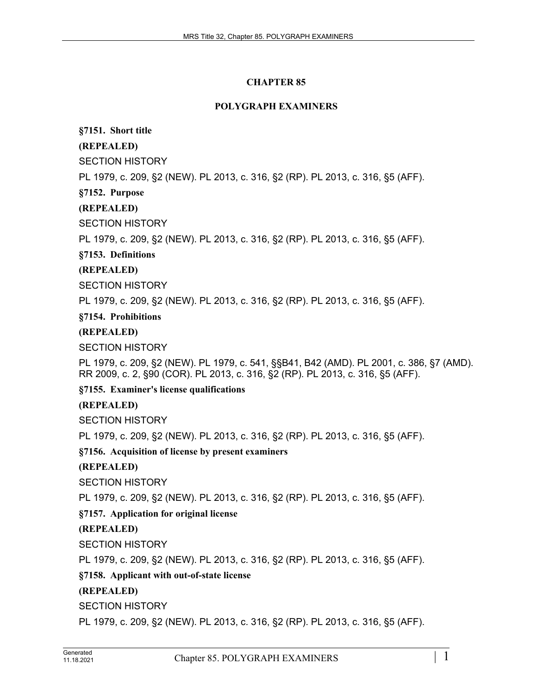# **CHAPTER 85**

#### **POLYGRAPH EXAMINERS**

#### **§7151. Short title**

# **(REPEALED)**

SECTION HISTORY

PL 1979, c. 209, §2 (NEW). PL 2013, c. 316, §2 (RP). PL 2013, c. 316, §5 (AFF).

#### **§7152. Purpose**

# **(REPEALED)**

SECTION HISTORY

PL 1979, c. 209, §2 (NEW). PL 2013, c. 316, §2 (RP). PL 2013, c. 316, §5 (AFF).

# **§7153. Definitions**

# **(REPEALED)**

SECTION HISTORY

PL 1979, c. 209, §2 (NEW). PL 2013, c. 316, §2 (RP). PL 2013, c. 316, §5 (AFF).

#### **§7154. Prohibitions**

# **(REPEALED)**

SECTION HISTORY

PL 1979, c. 209, §2 (NEW). PL 1979, c. 541, §§B41, B42 (AMD). PL 2001, c. 386, §7 (AMD). RR 2009, c. 2, §90 (COR). PL 2013, c. 316, §2 (RP). PL 2013, c. 316, §5 (AFF).

**§7155. Examiner's license qualifications**

#### **(REPEALED)**

SECTION HISTORY

PL 1979, c. 209, §2 (NEW). PL 2013, c. 316, §2 (RP). PL 2013, c. 316, §5 (AFF).

**§7156. Acquisition of license by present examiners**

#### **(REPEALED)**

SECTION HISTORY

PL 1979, c. 209, §2 (NEW). PL 2013, c. 316, §2 (RP). PL 2013, c. 316, §5 (AFF).

#### **§7157. Application for original license**

#### **(REPEALED)**

SECTION HISTORY

PL 1979, c. 209, §2 (NEW). PL 2013, c. 316, §2 (RP). PL 2013, c. 316, §5 (AFF).

#### **§7158. Applicant with out-of-state license**

# **(REPEALED)**

SECTION HISTORY

PL 1979, c. 209, §2 (NEW). PL 2013, c. 316, §2 (RP). PL 2013, c. 316, §5 (AFF).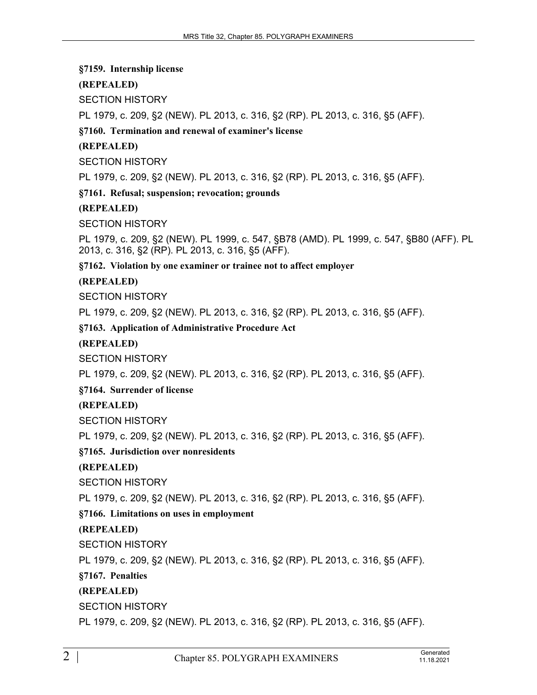**§7159. Internship license**

**(REPEALED)**

SECTION HISTORY

PL 1979, c. 209, §2 (NEW). PL 2013, c. 316, §2 (RP). PL 2013, c. 316, §5 (AFF).

**§7160. Termination and renewal of examiner's license**

# **(REPEALED)**

SECTION HISTORY

PL 1979, c. 209, §2 (NEW). PL 2013, c. 316, §2 (RP). PL 2013, c. 316, §5 (AFF).

**§7161. Refusal; suspension; revocation; grounds**

**(REPEALED)**

SECTION HISTORY

PL 1979, c. 209, §2 (NEW). PL 1999, c. 547, §B78 (AMD). PL 1999, c. 547, §B80 (AFF). PL 2013, c. 316, §2 (RP). PL 2013, c. 316, §5 (AFF).

**§7162. Violation by one examiner or trainee not to affect employer**

# **(REPEALED)**

SECTION HISTORY

PL 1979, c. 209, §2 (NEW). PL 2013, c. 316, §2 (RP). PL 2013, c. 316, §5 (AFF).

**§7163. Application of Administrative Procedure Act**

#### **(REPEALED)**

SECTION HISTORY

PL 1979, c. 209, §2 (NEW). PL 2013, c. 316, §2 (RP). PL 2013, c. 316, §5 (AFF).

**§7164. Surrender of license**

**(REPEALED)**

SECTION HISTORY

PL 1979, c. 209, §2 (NEW). PL 2013, c. 316, §2 (RP). PL 2013, c. 316, §5 (AFF).

# **§7165. Jurisdiction over nonresidents**

**(REPEALED)**

SECTION HISTORY

PL 1979, c. 209, §2 (NEW). PL 2013, c. 316, §2 (RP). PL 2013, c. 316, §5 (AFF).

# **§7166. Limitations on uses in employment**

# **(REPEALED)**

SECTION HISTORY

PL 1979, c. 209, §2 (NEW). PL 2013, c. 316, §2 (RP). PL 2013, c. 316, §5 (AFF).

**§7167. Penalties**

# **(REPEALED)**

SECTION HISTORY

PL 1979, c. 209, §2 (NEW). PL 2013, c. 316, §2 (RP). PL 2013, c. 316, §5 (AFF).